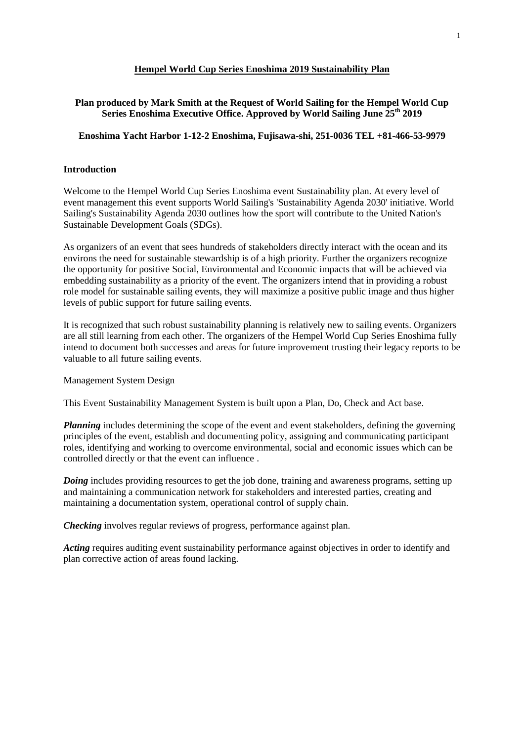#### **Hempel World Cup Series Enoshima 2019 Sustainability Plan**

# **Plan produced by Mark Smith at the Request of World Sailing for the Hempel World Cup Series Enoshima Executive Office. Approved by World Sailing June 25th 2019**

#### **Enoshima Yacht Harbor 1-12-2 Enoshima, Fujisawa-shi, 251-0036 TEL +81-466-53-9979**

#### **Introduction**

Welcome to the Hempel World Cup Series Enoshima event Sustainability plan. At every level of event management this event supports World Sailing's 'Sustainability Agenda 2030' initiative. World Sailing's Sustainability Agenda 2030 outlines how the sport will contribute to the United Nation's Sustainable Development Goals (SDGs).

As organizers of an event that sees hundreds of stakeholders directly interact with the ocean and its environs the need for sustainable stewardship is of a high priority. Further the organizers recognize the opportunity for positive Social, Environmental and Economic impacts that will be achieved via embedding sustainability as a priority of the event. The organizers intend that in providing a robust role model for sustainable sailing events, they will maximize a positive public image and thus higher levels of public support for future sailing events.

It is recognized that such robust sustainability planning is relatively new to sailing events. Organizers are all still learning from each other. The organizers of the Hempel World Cup Series Enoshima fully intend to document both successes and areas for future improvement trusting their legacy reports to be valuable to all future sailing events.

#### Management System Design

This Event Sustainability Management System is built upon a Plan, Do, Check and Act base.

*Planning* includes determining the scope of the event and event stakeholders, defining the governing principles of the event, establish and documenting policy, assigning and communicating participant roles, identifying and working to overcome environmental, social and economic issues which can be controlled directly or that the event can influence .

*Doing* includes providing resources to get the job done, training and awareness programs, setting up and maintaining a communication network for stakeholders and interested parties, creating and maintaining a documentation system, operational control of supply chain.

*Checking* involves regular reviews of progress, performance against plan.

*Acting* requires auditing event sustainability performance against objectives in order to identify and plan corrective action of areas found lacking.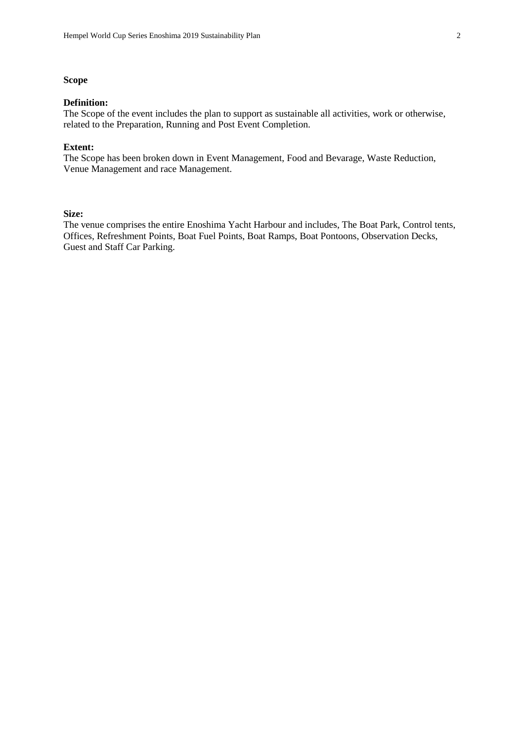## **Scope**

#### **Definition:**

The Scope of the event includes the plan to support as sustainable all activities, work or otherwise, related to the Preparation, Running and Post Event Completion.

#### **Extent:**

The Scope has been broken down in Event Management, Food and Bevarage, Waste Reduction, Venue Management and race Management.

## **Size:**

The venue comprises the entire Enoshima Yacht Harbour and includes, The Boat Park, Control tents, Offices, Refreshment Points, Boat Fuel Points, Boat Ramps, Boat Pontoons, Observation Decks, Guest and Staff Car Parking.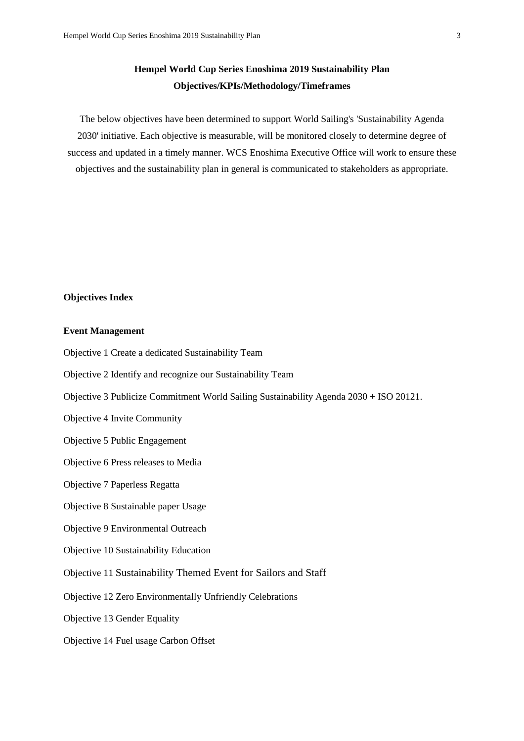# **Hempel World Cup Series Enoshima 2019 Sustainability Plan Objectives/KPIs/Methodology/Timeframes**

The below objectives have been determined to support World Sailing's 'Sustainability Agenda 2030' initiative. Each objective is measurable, will be monitored closely to determine degree of success and updated in a timely manner. WCS Enoshima Executive Office will work to ensure these objectives and the sustainability plan in general is communicated to stakeholders as appropriate.

## **Objectives Index**

#### **Event Management**

- Objective 1 Create a dedicated Sustainability Team
- Objective 2 Identify and recognize our Sustainability Team
- Objective 3 Publicize Commitment World Sailing Sustainability Agenda 2030 + ISO 20121.
- Objective 4 Invite Community
- Objective 5 Public Engagement
- Objective 6 Press releases to Media
- Objective 7 Paperless Regatta
- Objective 8 Sustainable paper Usage
- Objective 9 Environmental Outreach
- Objective 10 Sustainability Education
- Objective 11 Sustainability Themed Event for Sailors and Staff
- Objective 12 Zero Environmentally Unfriendly Celebrations
- Objective 13 Gender Equality
- Objective 14 Fuel usage Carbon Offset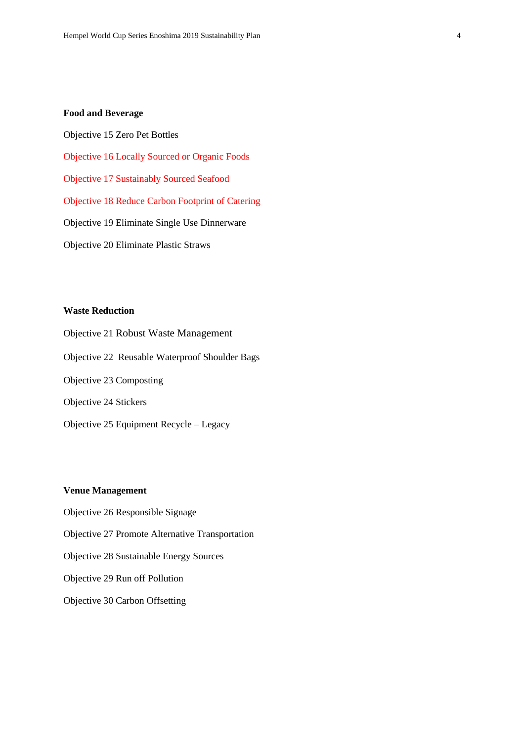#### **Food and Beverage**

Objective 15 Zero Pet Bottles

Objective 16 Locally Sourced or Organic Foods

Objective 17 Sustainably Sourced Seafood

Objective 18 Reduce Carbon Footprint of Catering

Objective 19 Eliminate Single Use Dinnerware

Objective 20 Eliminate Plastic Straws

## **Waste Reduction**

Objective 21 Robust Waste Management Objective 22 Reusable Waterproof Shoulder Bags Objective 23 Composting Objective 24 Stickers Objective 25 Equipment Recycle – Legacy

## **Venue Management**

Objective 26 Responsible Signage Objective 27 Promote Alternative Transportation Objective 28 Sustainable Energy Sources Objective 29 Run off Pollution Objective 30 Carbon Offsetting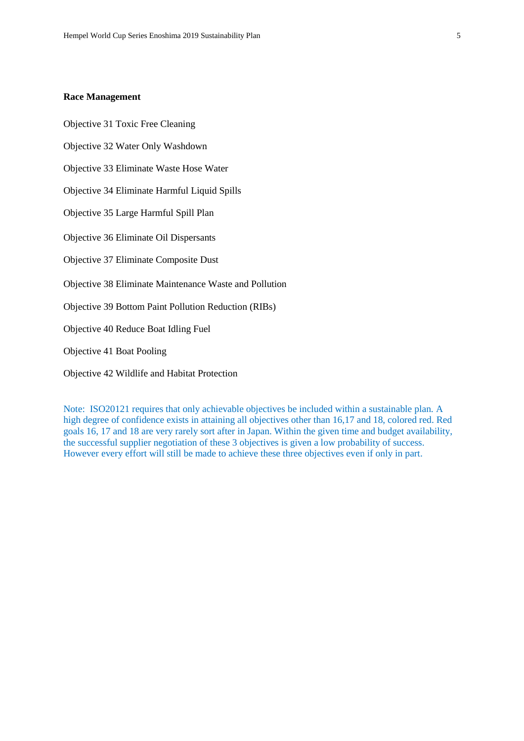#### **Race Management**

Objective 31 Toxic Free Cleaning

Objective 32 Water Only Washdown

Objective 33 Eliminate Waste Hose Water

Objective 34 Eliminate Harmful Liquid Spills

Objective 35 Large Harmful Spill Plan

Objective 36 Eliminate Oil Dispersants

Objective 37 Eliminate Composite Dust

Objective 38 Eliminate Maintenance Waste and Pollution

Objective 39 Bottom Paint Pollution Reduction (RIBs)

Objective 40 Reduce Boat Idling Fuel

Objective 41 Boat Pooling

Objective 42 Wildlife and Habitat Protection

Note: ISO20121 requires that only achievable objectives be included within a sustainable plan. A high degree of confidence exists in attaining all objectives other than 16,17 and 18, colored red. Red goals 16, 17 and 18 are very rarely sort after in Japan. Within the given time and budget availability, the successful supplier negotiation of these 3 objectives is given a low probability of success. However every effort will still be made to achieve these three objectives even if only in part.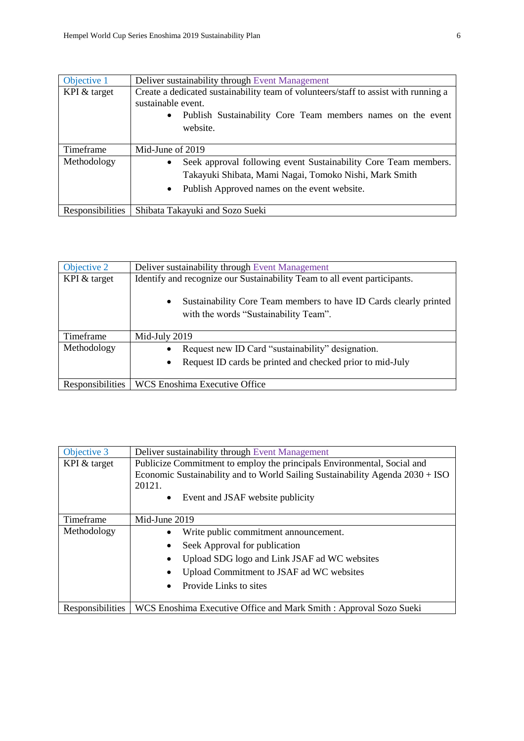| Objective 1      | Deliver sustainability through Event Management                                                                                                                                                     |
|------------------|-----------------------------------------------------------------------------------------------------------------------------------------------------------------------------------------------------|
| KPI & target     | Create a dedicated sustainability team of volunteers/staff to assist with running a<br>sustainable event.<br>Publish Sustainability Core Team members names on the event<br>$\bullet$<br>website.   |
| Timeframe        | Mid-June of 2019                                                                                                                                                                                    |
| Methodology      | Seek approval following event Sustainability Core Team members.<br>$\bullet$<br>Takayuki Shibata, Mami Nagai, Tomoko Nishi, Mark Smith<br>Publish Approved names on the event website.<br>$\bullet$ |
| Responsibilities | Shibata Takayuki and Sozo Sueki                                                                                                                                                                     |

| Objective 2      | Deliver sustainability through Event Management                                                                         |
|------------------|-------------------------------------------------------------------------------------------------------------------------|
| KPI & target     | Identify and recognize our Sustainability Team to all event participants.                                               |
|                  | Sustainability Core Team members to have ID Cards clearly printed<br>$\bullet$<br>with the words "Sustainability Team". |
| Timeframe        | Mid-July 2019                                                                                                           |
| Methodology      | Request new ID Card "sustainability" designation.                                                                       |
|                  | Request ID cards be printed and checked prior to mid-July<br>$\bullet$                                                  |
| Responsibilities | WCS Enoshima Executive Office                                                                                           |

| Objective 3      | Deliver sustainability through Event Management                               |
|------------------|-------------------------------------------------------------------------------|
| KPI & target     | Publicize Commitment to employ the principals Environmental, Social and       |
|                  | Economic Sustainability and to World Sailing Sustainability Agenda 2030 + ISO |
|                  | 20121.                                                                        |
|                  | Event and JSAF website publicity<br>$\bullet$                                 |
|                  |                                                                               |
| Timeframe        | Mid-June 2019                                                                 |
| Methodology      | Write public commitment announcement.                                         |
|                  | Seek Approval for publication<br>$\bullet$                                    |
|                  | Upload SDG logo and Link JSAF ad WC websites                                  |
|                  | Upload Commitment to JSAF ad WC websites                                      |
|                  | Provide Links to sites                                                        |
|                  |                                                                               |
| Responsibilities | WCS Enoshima Executive Office and Mark Smith : Approval Sozo Sueki            |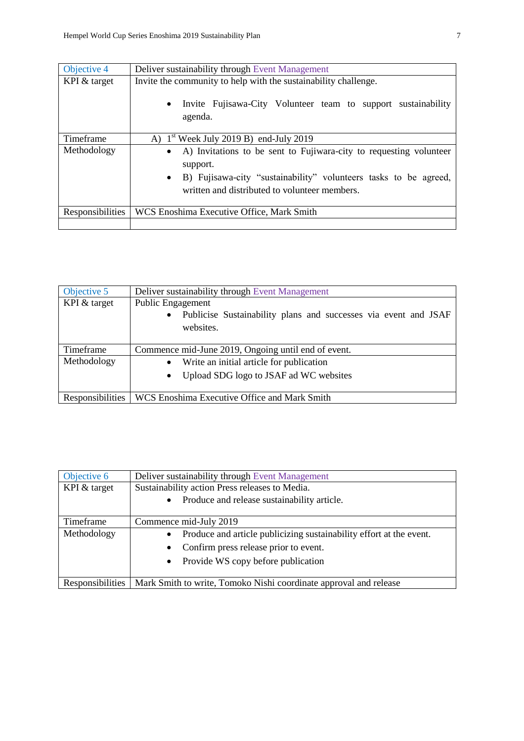| Objective 4      | Deliver sustainability through Event Management                                                                                |
|------------------|--------------------------------------------------------------------------------------------------------------------------------|
| KPI & target     | Invite the community to help with the sustainability challenge.                                                                |
|                  | Invite Fujisawa-City Volunteer team to support sustainability<br>$\bullet$<br>agenda.                                          |
| Timeframe        | A) $1st$ Week July 2019 B) end-July 2019                                                                                       |
| Methodology      | • A) Invitations to be sent to Fujiwara-city to requesting volunteer<br>support.                                               |
|                  | B) Fujisawa-city "sustainability" volunteers tasks to be agreed,<br>$\bullet$<br>written and distributed to volunteer members. |
| Responsibilities | WCS Enoshima Executive Office, Mark Smith                                                                                      |
|                  |                                                                                                                                |

| Objective 5      | Deliver sustainability through Event Management                              |
|------------------|------------------------------------------------------------------------------|
| KPI & target     | Public Engagement                                                            |
|                  | Publicise Sustainability plans and successes via event and JSAF<br>$\bullet$ |
|                  | websites.                                                                    |
|                  |                                                                              |
| Timeframe        | Commence mid-June 2019, Ongoing until end of event.                          |
| Methodology      | Write an initial article for publication<br>$\bullet$                        |
|                  | Upload SDG logo to JSAF ad WC websites                                       |
|                  |                                                                              |
| Responsibilities | WCS Enoshima Executive Office and Mark Smith                                 |

| Objective 6             | Deliver sustainability through Event Management                                  |
|-------------------------|----------------------------------------------------------------------------------|
| KPI & target            | Sustainability action Press releases to Media.                                   |
|                         | Produce and release sustainability article.<br>$\bullet$                         |
|                         |                                                                                  |
| Timeframe               | Commence mid-July 2019                                                           |
| Methodology             | Produce and article publicizing sustainability effort at the event.<br>$\bullet$ |
|                         | Confirm press release prior to event.                                            |
|                         | • Provide WS copy before publication                                             |
|                         |                                                                                  |
| <b>Responsibilities</b> | Mark Smith to write, Tomoko Nishi coordinate approval and release                |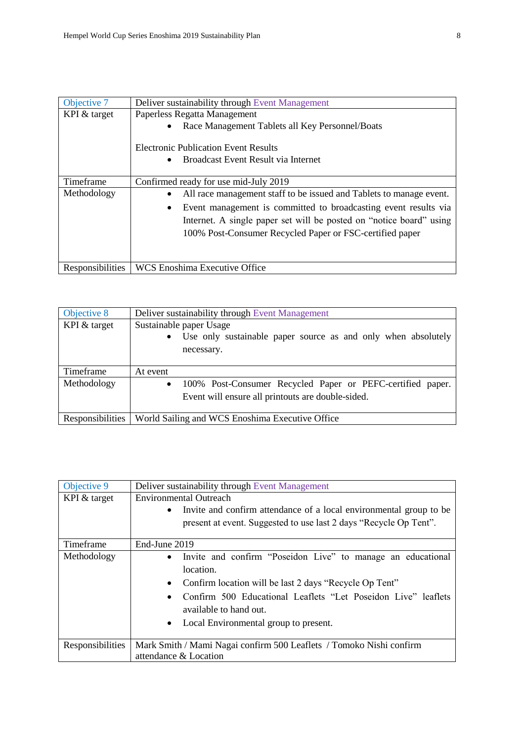| Objective 7      | Deliver sustainability through Event Management                     |
|------------------|---------------------------------------------------------------------|
| KPI & target     | Paperless Regatta Management                                        |
|                  | Race Management Tablets all Key Personnel/Boats                     |
|                  | <b>Electronic Publication Event Results</b>                         |
|                  | Broadcast Event Result via Internet                                 |
| Timeframe        | Confirmed ready for use mid-July 2019                               |
| Methodology      | All race management staff to be issued and Tablets to manage event. |
|                  | Event management is committed to broadcasting event results via     |
|                  | Internet. A single paper set will be posted on "notice board" using |
|                  | 100% Post-Consumer Recycled Paper or FSC-certified paper            |
|                  |                                                                     |
|                  |                                                                     |
| Responsibilities | <b>WCS Enoshima Executive Office</b>                                |

| Objective 8      | Deliver sustainability through Event Management                            |
|------------------|----------------------------------------------------------------------------|
| KPI & target     | Sustainable paper Usage                                                    |
|                  | Use only sustainable paper source as and only when absolutely<br>$\bullet$ |
|                  | necessary.                                                                 |
|                  |                                                                            |
| Timeframe        | At event                                                                   |
| Methodology      | 100% Post-Consumer Recycled Paper or PEFC-certified paper.<br>$\bullet$    |
|                  | Event will ensure all printouts are double-sided.                          |
|                  |                                                                            |
| Responsibilities | World Sailing and WCS Enoshima Executive Office                            |

| Objective 9      | Deliver sustainability through Event Management                                         |
|------------------|-----------------------------------------------------------------------------------------|
| KPI $&$ target   | <b>Environmental Outreach</b>                                                           |
|                  | Invite and confirm attendance of a local environmental group to be<br>$\bullet$         |
|                  | present at event. Suggested to use last 2 days "Recycle Op Tent".                       |
| Timeframe        | End-June 2019                                                                           |
| Methodology      | Invite and confirm "Poseidon Live" to manage an educational<br>$\bullet$<br>location.   |
|                  | Confirm location will be last 2 days "Recycle Op Tent"                                  |
|                  | Confirm 500 Educational Leaflets "Let Poseidon Live" leaflets<br>available to hand out. |
|                  |                                                                                         |
|                  | Local Environmental group to present.                                                   |
| Responsibilities | Mark Smith / Mami Nagai confirm 500 Leaflets / Tomoko Nishi confirm                     |
|                  | attendance & Location                                                                   |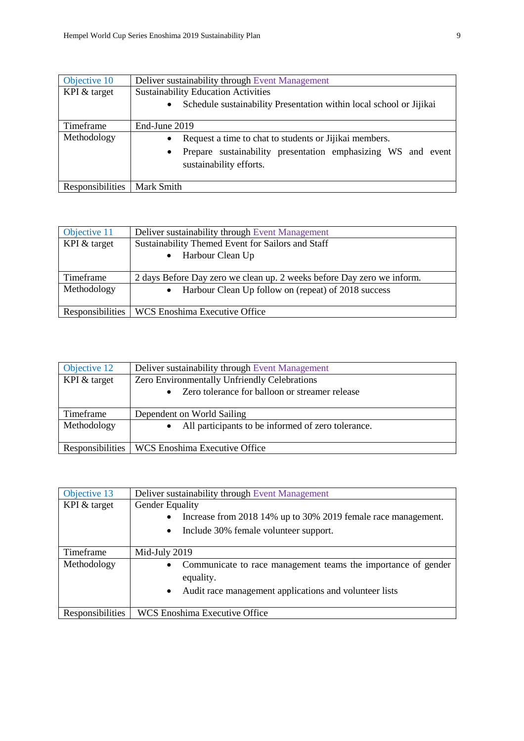| Objective 10     | Deliver sustainability through Event Management                                                                                                   |
|------------------|---------------------------------------------------------------------------------------------------------------------------------------------------|
| KPI & target     | <b>Sustainability Education Activities</b>                                                                                                        |
|                  | Schedule sustainability Presentation within local school or Jijikai                                                                               |
| Timeframe        | End-June 2019                                                                                                                                     |
| Methodology      | Request a time to chat to students or Jijikai members.<br>Prepare sustainability presentation emphasizing WS and event<br>sustainability efforts. |
| Responsibilities | Mark Smith                                                                                                                                        |

| Objective 11     | Deliver sustainability through Event Management                        |
|------------------|------------------------------------------------------------------------|
| KPI & target     | Sustainability Themed Event for Sailors and Staff                      |
|                  | Harbour Clean Up                                                       |
| Timeframe        | 2 days Before Day zero we clean up. 2 weeks before Day zero we inform. |
| Methodology      | Harbour Clean Up follow on (repeat) of 2018 success<br>$\bullet$       |
| Responsibilities | WCS Enoshima Executive Office                                          |

| Objective 12     | Deliver sustainability through Event Management             |
|------------------|-------------------------------------------------------------|
| KPI & target     | Zero Environmentally Unfriendly Celebrations                |
|                  | Zero tolerance for balloon or streamer release<br>$\bullet$ |
| Timeframe        | Dependent on World Sailing                                  |
|                  |                                                             |
| Methodology      | All participants to be informed of zero tolerance.          |
| Responsibilities | WCS Enoshima Executive Office                               |

| Objective 13     | Deliver sustainability through Event Management                            |
|------------------|----------------------------------------------------------------------------|
| KPI & target     | <b>Gender Equality</b>                                                     |
|                  | Increase from 2018 14% up to 30% 2019 female race management.<br>$\bullet$ |
|                  | Include 30% female volunteer support.<br>$\bullet$                         |
| Timeframe        | Mid-July 2019                                                              |
| Methodology      | Communicate to race management teams the importance of gender<br>$\bullet$ |
|                  | equality.                                                                  |
|                  | Audit race management applications and volunteer lists<br>$\bullet$        |
| Responsibilities | <b>WCS Enoshima Executive Office</b>                                       |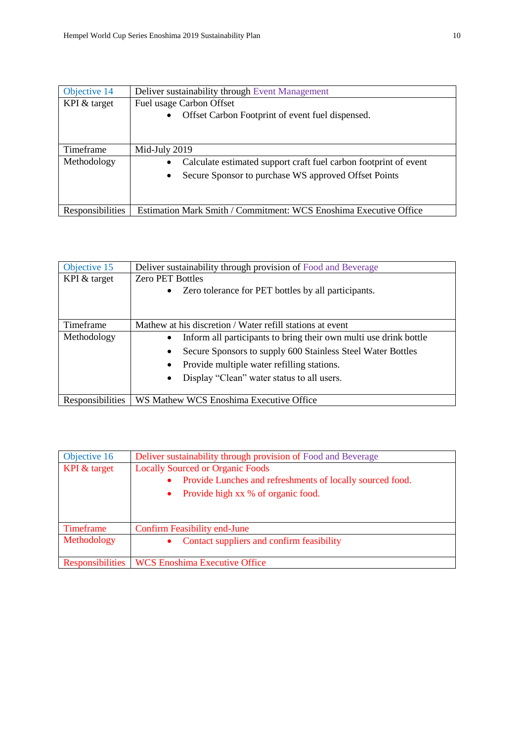| Objective 14     | Deliver sustainability through Event Management                                                                                       |
|------------------|---------------------------------------------------------------------------------------------------------------------------------------|
| KPI & target     | Fuel usage Carbon Offset<br>Offset Carbon Footprint of event fuel dispensed.                                                          |
| Timeframe        | Mid-July 2019                                                                                                                         |
| Methodology      | Calculate estimated support craft fuel carbon footprint of event<br>Secure Sponsor to purchase WS approved Offset Points<br>$\bullet$ |
| Responsibilities | Estimation Mark Smith / Commitment: WCS Enoshima Executive Office                                                                     |

| Objective 15     | Deliver sustainability through provision of Food and Beverage     |
|------------------|-------------------------------------------------------------------|
| KPI & target     | <b>Zero PET Bottles</b>                                           |
|                  | Zero tolerance for PET bottles by all participants.<br>$\bullet$  |
| Timeframe        | Mathew at his discretion / Water refill stations at event         |
| Methodology      | Inform all participants to bring their own multi use drink bottle |
|                  | Secure Sponsors to supply 600 Stainless Steel Water Bottles       |
|                  | Provide multiple water refilling stations.                        |
|                  | Display "Clean" water status to all users.                        |
| Responsibilities | WS Mathew WCS Enoshima Executive Office                           |

| Objective 16            | Deliver sustainability through provision of Food and Beverage |
|-------------------------|---------------------------------------------------------------|
| KPI & target            | <b>Locally Sourced or Organic Foods</b>                       |
|                         | Provide Lunches and refreshments of locally sourced food.     |
|                         | Provide high xx % of organic food.<br>$\bullet$               |
|                         |                                                               |
|                         |                                                               |
| Timeframe               | <b>Confirm Feasibility end-June</b>                           |
| Methodology             | Contact suppliers and confirm feasibility<br>$\bullet$        |
|                         |                                                               |
| <b>Responsibilities</b> | <b>WCS Enoshima Executive Office</b>                          |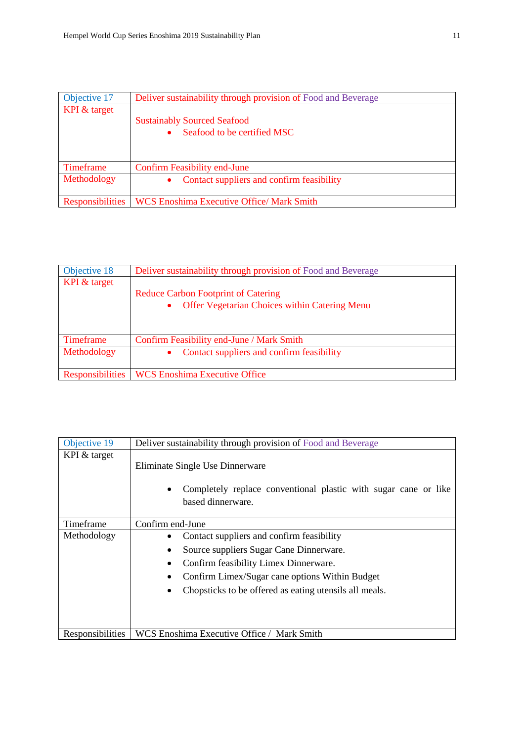| Objective 17            | Deliver sustainability through provision of Food and Beverage |
|-------------------------|---------------------------------------------------------------|
| KPI & target            |                                                               |
|                         | <b>Sustainably Sourced Seafood</b>                            |
|                         | Seafood to be certified MSC                                   |
|                         |                                                               |
|                         |                                                               |
| Timeframe               | <b>Confirm Feasibility end-June</b>                           |
| Methodology             | Contact suppliers and confirm feasibility                     |
|                         |                                                               |
| <b>Responsibilities</b> | <b>WCS Enoshima Executive Office/ Mark Smith</b>              |

| Objective 18            | Deliver sustainability through provision of Food and Beverage |
|-------------------------|---------------------------------------------------------------|
| KPI & target            |                                                               |
|                         | <b>Reduce Carbon Footprint of Catering</b>                    |
|                         | <b>Offer Vegetarian Choices within Catering Menu</b>          |
|                         |                                                               |
|                         |                                                               |
| Timeframe               | Confirm Feasibility end-June / Mark Smith                     |
| Methodology             | Contact suppliers and confirm feasibility                     |
|                         |                                                               |
| <b>Responsibilities</b> | <b>WCS Enoshima Executive Office</b>                          |

| Objective 19     | Deliver sustainability through provision of Food and Beverage                                                                                                                                                                             |
|------------------|-------------------------------------------------------------------------------------------------------------------------------------------------------------------------------------------------------------------------------------------|
| KPI & target     | Eliminate Single Use Dinnerware<br>Completely replace conventional plastic with sugar cane or like<br>based dinnerware.                                                                                                                   |
| Timeframe        | Confirm end-June                                                                                                                                                                                                                          |
| Methodology      | Contact suppliers and confirm feasibility<br>Source suppliers Sugar Cane Dinnerware.<br>Confirm feasibility Limex Dinnerware.<br>Confirm Limex/Sugar cane options Within Budget<br>Chopsticks to be offered as eating utensils all meals. |
| Responsibilities | WCS Enoshima Executive Office / Mark Smith                                                                                                                                                                                                |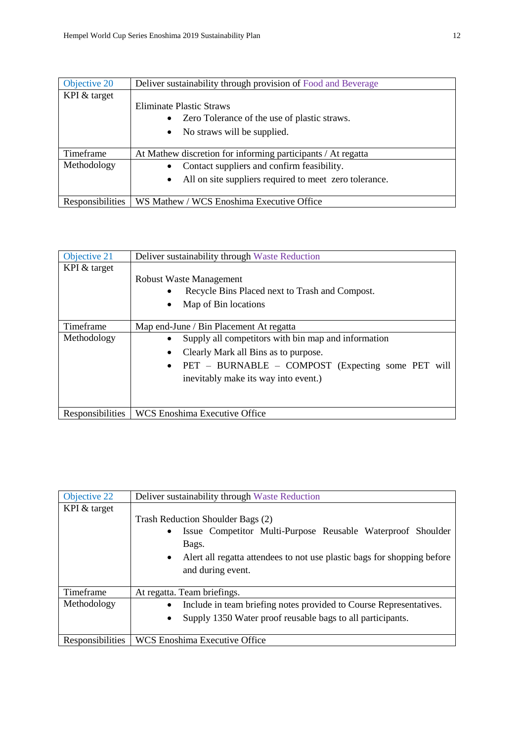| Objective 20            | Deliver sustainability through provision of Food and Beverage       |
|-------------------------|---------------------------------------------------------------------|
| KPI & target            |                                                                     |
|                         | Eliminate Plastic Straws                                            |
|                         | • Zero Tolerance of the use of plastic straws.                      |
|                         | No straws will be supplied.                                         |
| Timeframe               | At Mathew discretion for informing participants / At regatta        |
| Methodology             | Contact suppliers and confirm feasibility.                          |
|                         | All on site suppliers required to meet zero tolerance.<br>$\bullet$ |
| <b>Responsibilities</b> | WS Mathew / WCS Enoshima Executive Office                           |

| Objective 21     | Deliver sustainability through Waste Reduction                                                                                                                                           |
|------------------|------------------------------------------------------------------------------------------------------------------------------------------------------------------------------------------|
| KPI & target     | <b>Robust Waste Management</b><br>Recycle Bins Placed next to Trash and Compost.<br>Map of Bin locations                                                                                 |
| Timeframe        | Map end-June / Bin Placement At regatta                                                                                                                                                  |
| Methodology      | Supply all competitors with bin map and information<br>Clearly Mark all Bins as to purpose.<br>PET – BURNABLE – COMPOST (Expecting some PET will<br>inevitably make its way into event.) |
| Responsibilities | <b>WCS Enoshima Executive Office</b>                                                                                                                                                     |

| Objective 22     | Deliver sustainability through Waste Reduction                                                                                                                                                                          |
|------------------|-------------------------------------------------------------------------------------------------------------------------------------------------------------------------------------------------------------------------|
| KPI & target     | Trash Reduction Shoulder Bags (2)<br>Issue Competitor Multi-Purpose Reusable Waterproof Shoulder<br>Bags.<br>A left all regatta attendees to not use plastic bags for shopping before<br>$\bullet$<br>and during event. |
| Timeframe        | At regatta. Team briefings.                                                                                                                                                                                             |
| Methodology      | Include in team briefing notes provided to Course Representatives.<br>Supply 1350 Water proof reusable bags to all participants.                                                                                        |
| Responsibilities | <b>WCS Enoshima Executive Office</b>                                                                                                                                                                                    |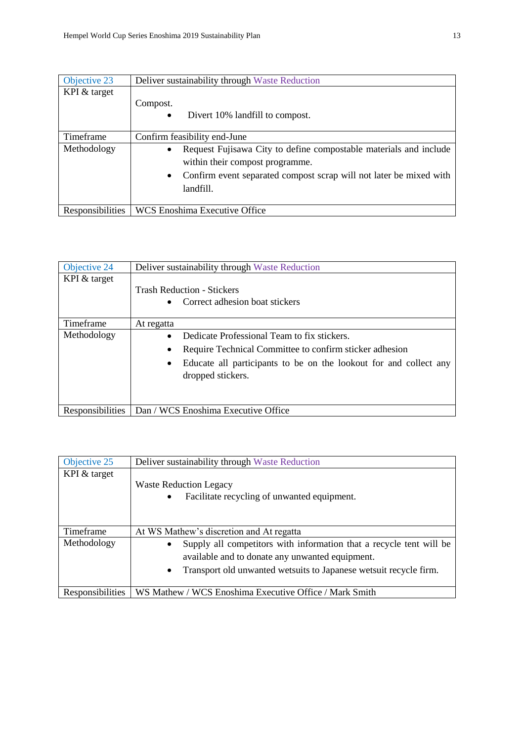| Objective 23     | Deliver sustainability through Waste Reduction                                                                                                                             |
|------------------|----------------------------------------------------------------------------------------------------------------------------------------------------------------------------|
| KPI & target     | Compost.                                                                                                                                                                   |
|                  | Divert 10% landfill to compost.<br>$\bullet$                                                                                                                               |
| Timeframe        | Confirm feasibility end-June                                                                                                                                               |
| Methodology      | Request Fujisawa City to define compostable materials and include<br>within their compost programme.<br>Confirm event separated compost scrap will not later be mixed with |
|                  | landfill.                                                                                                                                                                  |
| Responsibilities | WCS Enoshima Executive Office                                                                                                                                              |

| Objective 24     | Deliver sustainability through Waste Reduction                                                                                                                                                   |
|------------------|--------------------------------------------------------------------------------------------------------------------------------------------------------------------------------------------------|
| KPI & target     | <b>Trash Reduction - Stickers</b><br>Correct adhesion boat stickers                                                                                                                              |
| Timeframe        | At regatta                                                                                                                                                                                       |
| Methodology      | Dedicate Professional Team to fix stickers.<br>Require Technical Committee to confirm sticker adhesion<br>Educate all participants to be on the lookout for and collect any<br>dropped stickers. |
| Responsibilities | Dan / WCS Enoshima Executive Office                                                                                                                                                              |

| Objective 25     | Deliver sustainability through Waste Reduction                                   |
|------------------|----------------------------------------------------------------------------------|
| KPI & target     |                                                                                  |
|                  | <b>Waste Reduction Legacy</b>                                                    |
|                  | Facilitate recycling of unwanted equipment.<br>$\bullet$                         |
|                  |                                                                                  |
|                  |                                                                                  |
| Timeframe        | At WS Mathew's discretion and At regatta                                         |
| Methodology      | Supply all competitors with information that a recycle tent will be<br>$\bullet$ |
|                  | available and to donate any unwanted equipment.                                  |
|                  | Transport old unwanted wetsuits to Japanese wetsuit recycle firm.<br>$\bullet$   |
|                  |                                                                                  |
| Responsibilities | WS Mathew / WCS Enoshima Executive Office / Mark Smith                           |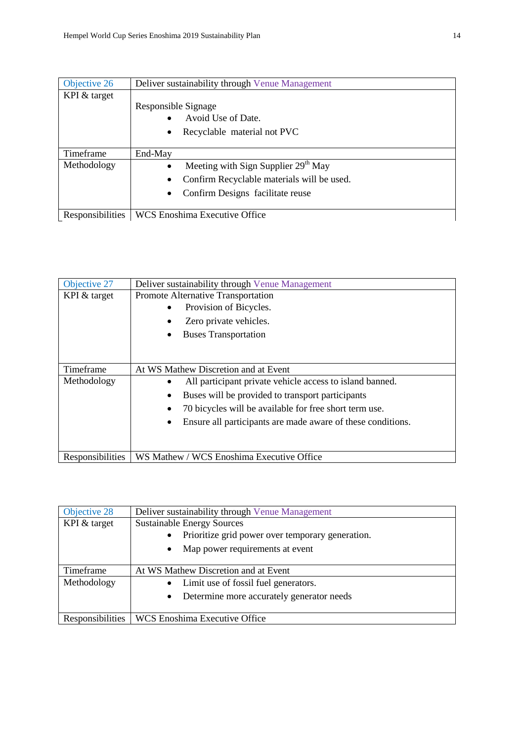| Objective 26     | Deliver sustainability through Venue Management |
|------------------|-------------------------------------------------|
| KPI & target     |                                                 |
|                  | Responsible Signage                             |
|                  | Avoid Use of Date.                              |
|                  | Recyclable material not PVC                     |
|                  |                                                 |
| Timeframe        | End-May                                         |
| Methodology      | Meeting with Sign Supplier $29th$ May           |
|                  | Confirm Recyclable materials will be used.      |
|                  | Confirm Designs facilitate reuse                |
|                  |                                                 |
| Responsibilities | <b>WCS Enoshima Executive Office</b>            |

| Objective 27     | Deliver sustainability through Venue Management             |
|------------------|-------------------------------------------------------------|
| KPI & target     | Promote Alternative Transportation                          |
|                  | Provision of Bicycles.                                      |
|                  | Zero private vehicles.                                      |
|                  | <b>Buses Transportation</b>                                 |
|                  |                                                             |
|                  |                                                             |
| Timeframe        | At WS Mathew Discretion and at Event                        |
| Methodology      | All participant private vehicle access to island banned.    |
|                  | Buses will be provided to transport participants            |
|                  | 70 bicycles will be available for free short term use.      |
|                  | Ensure all participants are made aware of these conditions. |
|                  |                                                             |
|                  |                                                             |
| Responsibilities | WS Mathew / WCS Enoshima Executive Office                   |

| Objective 28     | Deliver sustainability through Venue Management               |
|------------------|---------------------------------------------------------------|
| KPI & target     | <b>Sustainable Energy Sources</b>                             |
|                  | Prioritize grid power over temporary generation.<br>$\bullet$ |
|                  | Map power requirements at event                               |
|                  |                                                               |
| Timeframe        | At WS Mathew Discretion and at Event                          |
| Methodology      | • Limit use of fossil fuel generators.                        |
|                  | Determine more accurately generator needs<br>$\bullet$        |
|                  |                                                               |
| Responsibilities | WCS Enoshima Executive Office                                 |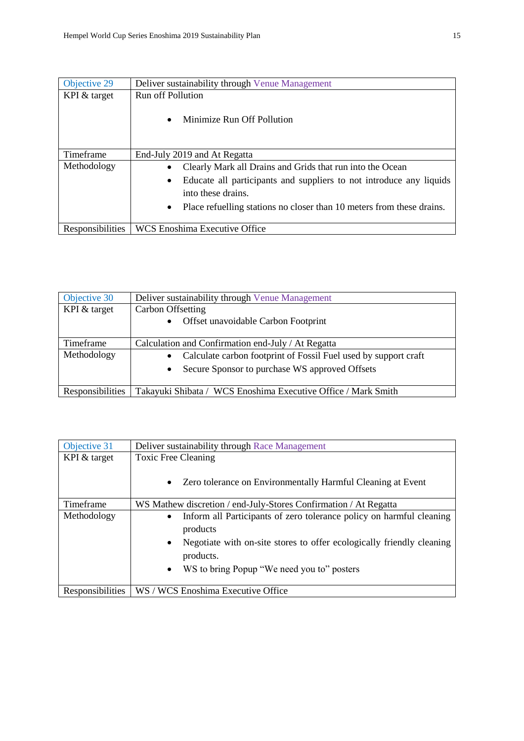| Objective 29     | Deliver sustainability through Venue Management                                                        |
|------------------|--------------------------------------------------------------------------------------------------------|
| KPI & target     | <b>Run off Pollution</b>                                                                               |
|                  | Minimize Run Off Pollution<br>$\bullet$                                                                |
| Timeframe        | End-July 2019 and At Regatta                                                                           |
| Methodology      | Clearly Mark all Drains and Grids that run into the Ocean                                              |
|                  | Educate all participants and suppliers to not introduce any liquids<br>$\bullet$<br>into these drains. |
|                  | Place refuelling stations no closer than 10 meters from these drains.<br>$\bullet$                     |
| Responsibilities | <b>WCS Enoshima Executive Office</b>                                                                   |

| Objective 30     | Deliver sustainability through Venue Management                              |
|------------------|------------------------------------------------------------------------------|
| KPI & target     | Carbon Offsetting                                                            |
|                  | Offset unavoidable Carbon Footprint<br>$\bullet$                             |
| Timeframe        | Calculation and Confirmation end-July / At Regatta                           |
| Methodology      | Calculate carbon footprint of Fossil Fuel used by support craft<br>$\bullet$ |
|                  | Secure Sponsor to purchase WS approved Offsets                               |
|                  |                                                                              |
| Responsibilities | Takayuki Shibata / WCS Enoshima Executive Office / Mark Smith                |

| Objective 31     | Deliver sustainability through Race Management                                                |
|------------------|-----------------------------------------------------------------------------------------------|
| KPI & target     | <b>Toxic Free Cleaning</b>                                                                    |
|                  | Zero tolerance on Environmentally Harmful Cleaning at Event<br>$\bullet$                      |
| Timeframe        | WS Mathew discretion / end-July-Stores Confirmation / At Regatta                              |
| Methodology      | Inform all Participants of zero tolerance policy on harmful cleaning<br>$\bullet$<br>products |
|                  | Negotiate with on-site stores to offer ecologically friendly cleaning<br>products.            |
|                  | WS to bring Popup "We need you to" posters<br>$\bullet$                                       |
| Responsibilities | WS / WCS Enoshima Executive Office                                                            |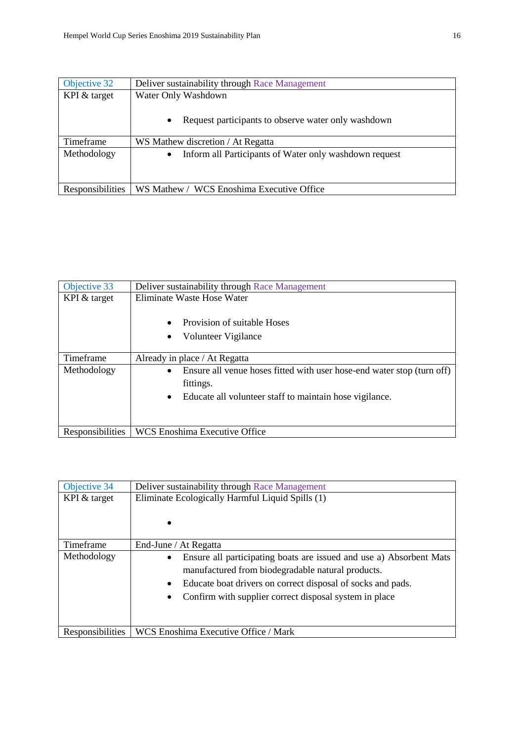| Objective 32     | Deliver sustainability through Race Management                      |
|------------------|---------------------------------------------------------------------|
| KPI & target     | Water Only Washdown                                                 |
|                  | Request participants to observe water only washdown<br>$\bullet$    |
| Timeframe        | WS Mathew discretion / At Regatta                                   |
| Methodology      | Inform all Participants of Water only washdown request<br>$\bullet$ |
| Responsibilities | WS Mathew / WCS Enoshima Executive Office                           |

| Objective 33     | Deliver sustainability through Race Management                                                                                                 |
|------------------|------------------------------------------------------------------------------------------------------------------------------------------------|
| KPI & target     | Eliminate Waste Hose Water                                                                                                                     |
|                  | Provision of suitable Hoses<br>Volunteer Vigilance                                                                                             |
| Timeframe        | Already in place / At Regatta                                                                                                                  |
| Methodology      | Ensure all venue hoses fitted with user hose-end water stop (turn off)<br>fittings.<br>Educate all volunteer staff to maintain hose vigilance. |
|                  |                                                                                                                                                |
| Responsibilities | WCS Enoshima Executive Office                                                                                                                  |

| Objective 34     | Deliver sustainability through Race Management                                                                                                                                                                                                                 |
|------------------|----------------------------------------------------------------------------------------------------------------------------------------------------------------------------------------------------------------------------------------------------------------|
| KPI & target     | Eliminate Ecologically Harmful Liquid Spills (1)                                                                                                                                                                                                               |
| Timeframe        | End-June / At Regatta                                                                                                                                                                                                                                          |
| Methodology      | Ensure all participating boats are issued and use a) Absorbent Mats<br>$\bullet$<br>manufactured from biodegradable natural products.<br>Educate boat drivers on correct disposal of socks and pads.<br>Confirm with supplier correct disposal system in place |
| Responsibilities | WCS Enoshima Executive Office / Mark                                                                                                                                                                                                                           |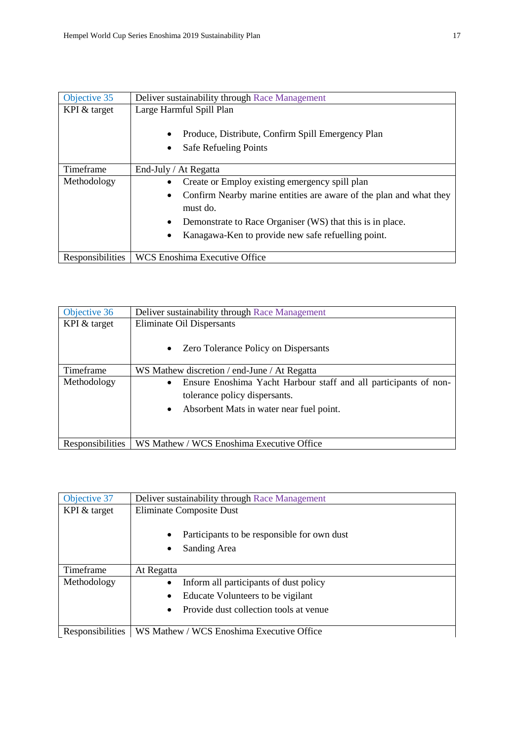| Objective 35     | Deliver sustainability through Race Management                                    |
|------------------|-----------------------------------------------------------------------------------|
| KPI $&$ target   | Large Harmful Spill Plan                                                          |
|                  | Produce, Distribute, Confirm Spill Emergency Plan<br><b>Safe Refueling Points</b> |
| Timeframe        | End-July / At Regatta                                                             |
| Methodology      | Create or Employ existing emergency spill plan                                    |
|                  | Confirm Nearby marine entities are aware of the plan and what they<br>$\bullet$   |
|                  | must do.                                                                          |
|                  | Demonstrate to Race Organiser (WS) that this is in place.                         |
|                  | Kanagawa-Ken to provide new safe refuelling point.                                |
| Responsibilities | <b>WCS Enoshima Executive Office</b>                                              |

| Objective 36     | Deliver sustainability through Race Management                                |
|------------------|-------------------------------------------------------------------------------|
| KPI & target     | Eliminate Oil Dispersants                                                     |
|                  | Zero Tolerance Policy on Dispersants<br>$\bullet$                             |
| Timeframe        | WS Mathew discretion / end-June / At Regatta                                  |
| Methodology      | Ensure Enoshima Yacht Harbour staff and all participants of non-<br>$\bullet$ |
|                  | tolerance policy dispersants.                                                 |
|                  | Absorbent Mats in water near fuel point.<br>$\bullet$                         |
|                  |                                                                               |
| Responsibilities | WS Mathew / WCS Enoshima Executive Office                                     |

| Objective 37     | Deliver sustainability through Race Management              |
|------------------|-------------------------------------------------------------|
| KPI & target     | <b>Eliminate Composite Dust</b>                             |
|                  | Participants to be responsible for own dust<br>Sanding Area |
| Timeframe        | At Regatta                                                  |
| Methodology      | Inform all participants of dust policy                      |
|                  | Educate Volunteers to be vigilant<br>$\bullet$              |
|                  | Provide dust collection tools at venue                      |
|                  |                                                             |
| Responsibilities | WS Mathew / WCS Enoshima Executive Office                   |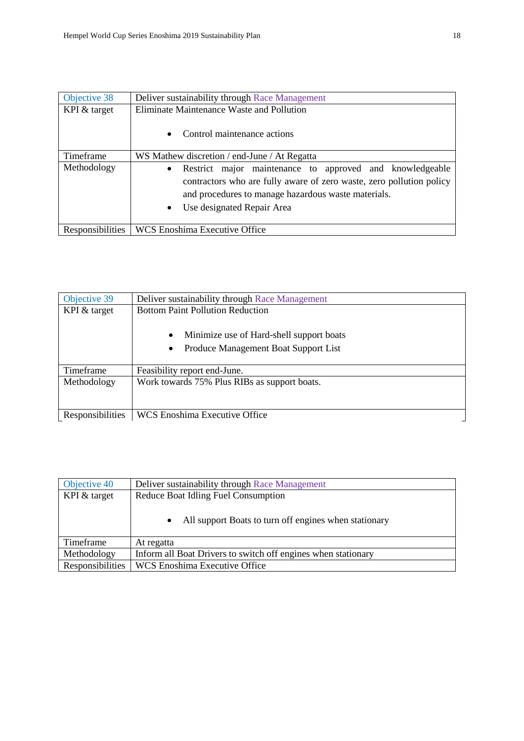| Objective 38     | Deliver sustainability through Race Management                        |
|------------------|-----------------------------------------------------------------------|
| KPI & target     | Eliminate Maintenance Waste and Pollution                             |
|                  | Control maintenance actions                                           |
| Timeframe        | WS Mathew discretion / end-June / At Regatta                          |
| Methodology      | Restrict major maintenance to approved and knowledgeable<br>$\bullet$ |
|                  | contractors who are fully aware of zero waste, zero pollution policy  |
|                  | and procedures to manage hazardous waste materials.                   |
|                  | Use designated Repair Area                                            |
|                  |                                                                       |
| Responsibilities | WCS Enoshima Executive Office                                         |

| Objective 39     | Deliver sustainability through Race Management                                                             |
|------------------|------------------------------------------------------------------------------------------------------------|
| KPI & target     | <b>Bottom Paint Pollution Reduction</b>                                                                    |
|                  | Minimize use of Hard-shell support boats<br>$\bullet$<br>Produce Management Boat Support List<br>$\bullet$ |
| Timeframe        | Feasibility report end-June.                                                                               |
| Methodology      | Work towards 75% Plus RIBs as support boats.                                                               |
| Responsibilities | <b>WCS Enoshima Executive Office</b>                                                                       |

| Objective 40     | Deliver sustainability through Race Management                |
|------------------|---------------------------------------------------------------|
| KPI & target     | Reduce Boat Idling Fuel Consumption                           |
|                  | All support Boats to turn off engines when stationary         |
| Timeframe        | At regatta                                                    |
| Methodology      | Inform all Boat Drivers to switch off engines when stationary |
| Responsibilities | <b>WCS Enoshima Executive Office</b>                          |